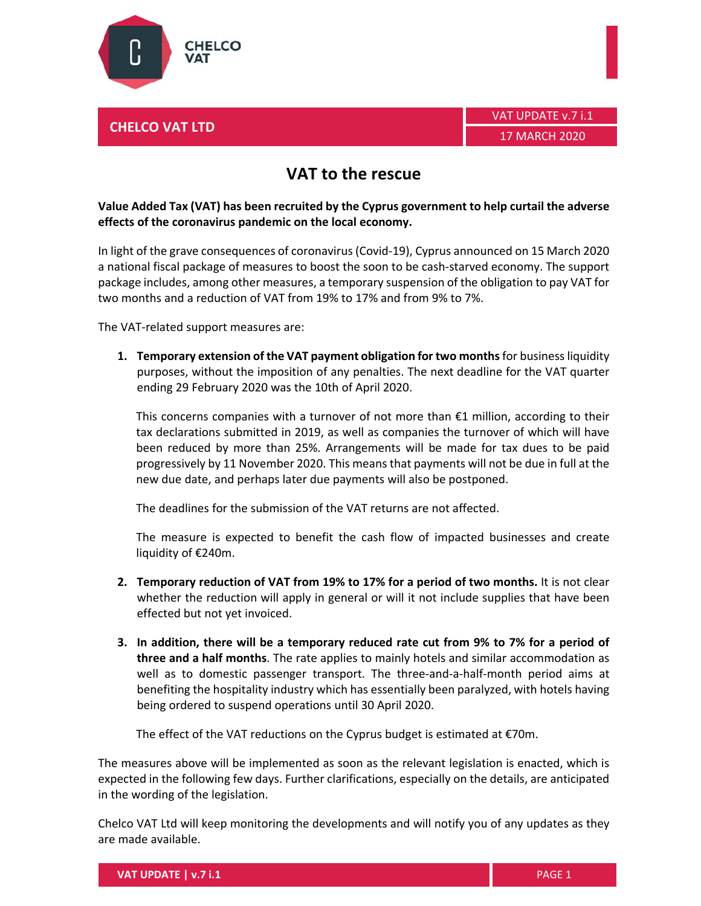

## **CHELCO VAT LTD**

## **VAT to the rescue**

## **Value Added Tax (VAT) has been recruited by the Cyprus government to help curtail the adverse effects of the coronavirus pandemic on the local economy.**

In light of the grave consequences of coronavirus(Covid‐19), Cyprus announced on 15 March 2020 a national fiscal package of measures to boost the soon to be cash‐starved economy. The support package includes, among other measures, a temporary suspension of the obligation to pay VAT for two months and a reduction of VAT from 19% to 17% and from 9% to 7%.

The VAT‐related support measures are:

**1. Temporary extension of the VAT payment obligation for two months**for businessliquidity purposes, without the imposition of any penalties. The next deadline for the VAT quarter ending 29 February 2020 was the 10th of April 2020.

This concerns companies with a turnover of not more than  $\epsilon$ 1 million, according to their tax declarations submitted in 2019, as well as companies the turnover of which will have been reduced by more than 25%. Arrangements will be made for tax dues to be paid progressively by 11 November 2020. This means that payments will not be due in full at the new due date, and perhaps later due payments will also be postponed.

Τhe deadlines for the submission of the VAT returns are not affected.

The measure is expected to benefit the cash flow of impacted businesses and create liquidity of €240m.

- **2. Temporary reduction of VAT from 19% to 17% for a period of two months.** It is not clear whether the reduction will apply in general or will it not include supplies that have been effected but not yet invoiced.
- **3. In addition, there will be a temporary reduced rate cut from 9% to 7% for a period of three and a half months**. The rate applies to mainly hotels and similar accommodation as well as to domestic passenger transport. The three-and-a-half-month period aims at benefiting the hospitality industry which has essentially been paralyzed, with hotels having being ordered to suspend operations until 30 April 2020.

The effect of the VAT reductions on the Cyprus budget is estimated at €70m.

The measures above will be implemented as soon as the relevant legislation is enacted, which is expected in the following few days. Further clarifications, especially on the details, are anticipated in the wording of the legislation.

Chelco VAT Ltd will keep monitoring the developments and will notify you of any updates as they are made available.